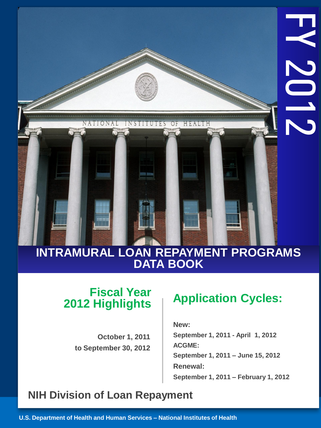## **INTRAMURAL LOAN REPAYMENT PROGRAMS DATA BOOK**

## **Fiscal Year 2012 Highlights**

**NIH LOAN REPAIR AND REPAIR** 

VATIONAL

INSTITUTES

OF

HEALTH

**Programs Programs** 

**October 1, 2011 to September 30, 2012**

## **Application Cycles:**

 **New : September 1, 2011 - April 1, 2012 ACGME: September 1, 2011 – June 15, 2012 Renewal: September 1, 2011 – February 1, 2012**

## **NIH Division of Loan Repayment**

**U.S. Department of Health and Human Services – National Institutes of Health**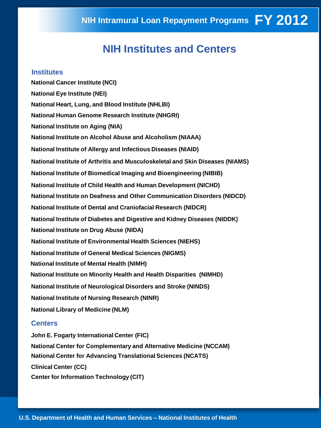## **NIH Institutes and Centers**

#### **Institutes**

**National Cancer Institute (NCI) National Eye Institute (NEI) National Heart, Lung, and Blood Institute (NHLBI) National Human Genome Research Institute (NHGRI) National Institute on Aging (NIA) National Institute on Alcohol Abuse and Alcoholism (NIAAA) National Institute of Allergy and Infectious Diseases (NIAID) National Institute of Arthritis and Musculoskeletal and Skin Diseases (NIAMS) National Institute of Biomedical Imaging and Bioengineering (NIBIB) National Institute of Child Health and Human Development (NICHD) National Institute on Deafness and Other Communication Disorders (NIDCD) National Institute of Dental and Craniofacial Research (NIDCR) National Institute of Diabetes and Digestive and Kidney Diseases (NIDDK) National Institute on Drug Abuse (NIDA) National Institute of Environmental Health Sciences (NIEHS) National Institute of General Medical Sciences (NIGMS) National Institute of Mental Health (NIMH) National Institute on Minority Health and Health Disparities (NIMHD) National Institute of Neurological Disorders and Stroke (NINDS) National Institute of Nursing Research (NINR) National Library of Medicine (NLM)** 

#### **Centers**

**John E. Fogarty International Center (FIC) National Center for Complementary and Alternative Medicine (NCCAM) National Center for Advancing Translational Sciences (NCATS) Clinical Center (CC) Center for Information Technology (CIT)**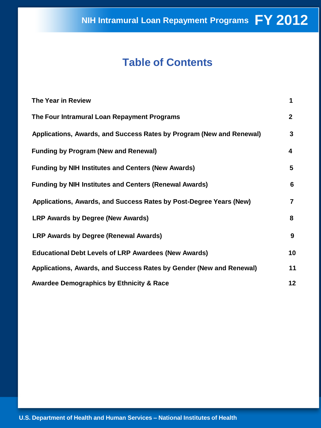## **Table of Contents**

| The Year in Review                                                   | 1               |
|----------------------------------------------------------------------|-----------------|
| The Four Intramural Loan Repayment Programs                          | $\mathbf{2}$    |
| Applications, Awards, and Success Rates by Program (New and Renewal) | 3               |
| <b>Funding by Program (New and Renewal)</b>                          | 4               |
| <b>Funding by NIH Institutes and Centers (New Awards)</b>            | 5               |
| <b>Funding by NIH Institutes and Centers (Renewal Awards)</b>        | 6               |
| Applications, Awards, and Success Rates by Post-Degree Years (New)   | 7               |
| <b>LRP Awards by Degree (New Awards)</b>                             | 8               |
| <b>LRP Awards by Degree (Renewal Awards)</b>                         | 9               |
| <b>Educational Debt Levels of LRP Awardees (New Awards)</b>          | 10              |
| Applications, Awards, and Success Rates by Gender (New and Renewal)  | 11              |
| <b>Awardee Demographics by Ethnicity &amp; Race</b>                  | 12 <sub>2</sub> |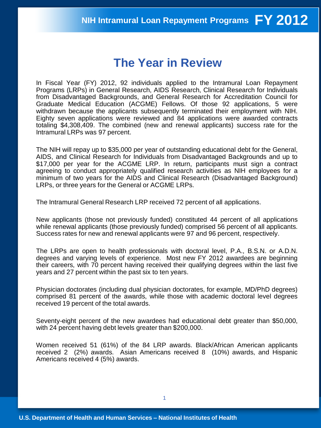## **The Year in Review**

In Fiscal Year (FY) 2012, 92 individuals applied to the Intramural Loan Repayment Programs (LRPs) in General Research, AIDS Research, Clinical Research for Individuals from Disadvantaged Backgrounds, and General Research for Accreditation Council for Graduate Medical Education (ACGME) Fellows. Of those 92 applications, 5 were withdrawn because the applicants subsequently terminated their employment with NIH. Eighty seven applications were reviewed and 84 applications were awarded contracts totaling \$4,308,409. The combined (new and renewal applicants) success rate for the Intramural LRPs was 97 percent.

The NIH will repay up to \$35,000 per year of outstanding educational debt for the General, AIDS, and Clinical Research for Individuals from Disadvantaged Backgrounds and up to \$17,000 per year for the ACGME LRP. In return, participants must sign a contract agreeing to conduct appropriately qualified research activities as NIH employees for a minimum of two years for the AIDS and Clinical Research (Disadvantaged Background) LRPs, or three years for the General or ACGME LRPs.

The Intramural General Research LRP received 72 percent of all applications.

New applicants (those not previously funded) constituted 44 percent of all applications while renewal applicants (those previously funded) comprised 56 percent of all applicants. Success rates for new and renewal applicants were 97 and 96 percent, respectively.

The LRPs are open to health professionals with doctoral level, P.A., B.S.N. or A.D.N. degrees and varying levels of experience. Most new FY 2012 awardees are beginning their careers, with 70 percent having received their qualifying degrees within the last five years and 27 percent within the past six to ten years.

Physician doctorates (including dual physician doctorates, for example, MD/PhD degrees) comprised 81 percent of the awards, while those with academic doctoral level degrees received 19 percent of the total awards.

Seventy-eight percent of the new awardees had educational debt greater than \$50,000, with 24 percent having debt levels greater than \$200,000.

Women received 51 (61%) of the 84 LRP awards. Black/African American applicants received 2 (2%) awards. Asian Americans received 8 (10%) awards, and Hispanic Americans received 4 (5%) awards.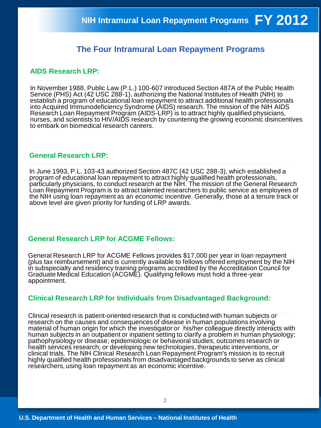### **The Four Intramural Loan Repayment Programs**

### **AIDS Research LRP:**

In November 1988, Public Law (P.L.) 100-607 introduced Section 487A of the Public Health Service (PHS) Act (42 USC 288-1), authorizing the National Institutes of Health (NIH) to establish a program of educational loan repayment to attract additional health professionals into Acquired Immunodeficiency Syndrome (AIDS) research. The mission of the NIH AIDS Research Loan Repayment Program (AIDS-LRP) is to attract highly qualified physicians, nurses, and scientists to HIV/AIDS research by countering the growing economic disincentives to embark on biomedical research careers.

#### **General Research LRP:**

In June 1993, P.L. 103-43 authorized Section 487C (42 USC 288-3), which established a program of educational loan repayment to attract highly qualified health professionals, particularly physicians, to conduct research at the NIH. The mission of the General Research Loan Repayment Program is to attract talented researchers to public service as employees of the NIH using loan repayment as an economic incentive. Generally, those at a tenure track or above level are given priority for funding of LRP awards.

#### **General Research LRP for ACGME Fellows:**

General Research LRP for ACGME Fellows provides \$17,000 per year in loan repayment (plus tax reimbursement) and is currently available to fellows offered employment by the NIH in subspecialty and residency training programs accredited by the Accreditation Council for Graduate Medical Education (ACGME). Qualifying fellows must hold a three-year appointment.

#### **Clinical Research LRP for Individuals from Disadvantaged Background:**

Clinical research is patient-oriented research that is conducted with human subjects or research on the causes and consequences of disease in human populations involving material of human origin for which the investigator or his/her colleague directly interacts with human subjects in an outpatient or inpatient setting to clarify a problem in human physiology; pathophysiology or disease; epidemiologic or behavioral studies; outcomes research or health services research; or developing new technologies, therapeutic interventions, or clinical trials. The NIH Clinical Research Loan Repayment Program's mission is to recruit highly qualified health professionals from disadvantaged backgrounds to serve as clinical researchers, using loan repayment as an economic incentive.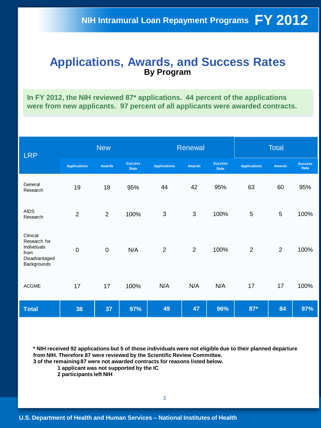### **Applications, Awards, and Success Rates By Program**

**In FY 2012, the NIH reviewed 87\* applications. 44 percent of the applications were from new applicants. 97 percent of all applicants were awarded contracts.** 

| <b>LRP</b>                                                                      | <b>New</b>          |                |                        | Renewal             |                |                        | <b>Total</b>        |                |                        |
|---------------------------------------------------------------------------------|---------------------|----------------|------------------------|---------------------|----------------|------------------------|---------------------|----------------|------------------------|
|                                                                                 | <b>Applications</b> | <b>Awards</b>  | <b>Success</b><br>Rate | <b>Applications</b> | <b>Awards</b>  | <b>Success</b><br>Rate | <b>Applications</b> | <b>Awards</b>  | <b>Success</b><br>Rate |
| General<br>Research                                                             | 19                  | 18             | 95%                    | 44                  | 42             | 95%                    | 63                  | 60             | 95%                    |
| <b>AIDS</b><br>Research                                                         | $\overline{2}$      | $\overline{2}$ | 100%                   | $\mathbf{3}$        | 3              | 100%                   | 5                   | 5              | 100%                   |
| Clinical<br>Research for<br>Individuals<br>from<br>Disadvantaged<br>Backgrounds | $\mathbf 0$         | $\mathbf 0$    | N/A                    | $\overline{2}$      | $\overline{2}$ | 100%                   | $\overline{2}$      | $\overline{2}$ | 100%                   |
| <b>ACGME</b>                                                                    | 17                  | 17             | 100%                   | N/A                 | N/A            | N/A                    | 17                  | 17             | 100%                   |
| <b>Total</b>                                                                    | 38                  | 37             | 97%                    | 49                  | 47             | 96%                    | $87*$               | 84             | 97%                    |

**\* NIH received 92 applications but 5 of those individuals were not eligible due to their planned departure from NIH. Therefore 87 were reviewed by the Scientific Review Committee. 3 of the remaining 87 were not awarded contracts for reasons listed below.** 

 **1 applicant was not supported by the IC** 

 **2 participants left NIH**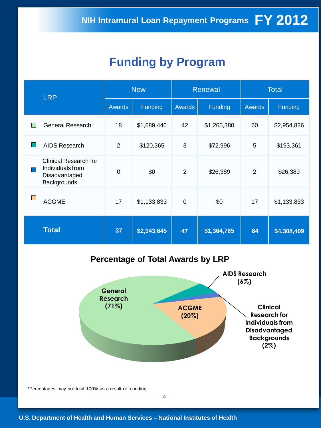## **Funding by Program**

| <b>LRP</b> |                                                                                  | <b>New</b>     |             |                | Renewal     | <b>Total</b>   |             |
|------------|----------------------------------------------------------------------------------|----------------|-------------|----------------|-------------|----------------|-------------|
|            |                                                                                  | <b>Awards</b>  | Funding     | <b>Awards</b>  | Funding     | <b>Awards</b>  | Funding     |
| I.         | <b>General Research</b>                                                          | 18             | \$1,689,446 | 42             | \$1,265,380 | 60             | \$2,954,826 |
| L.         | <b>AIDS Research</b>                                                             | $\overline{2}$ | \$120,365   | 3              | \$72,996    | 5              | \$193,361   |
|            | <b>Clinical Research for</b><br>Individuals from<br>Disadvantaged<br>Backgrounds | $\mathbf 0$    | \$0         | $\overline{2}$ | \$26,389    | $\overline{2}$ | \$26,389    |
| L.         | <b>ACGME</b>                                                                     | 17             | \$1,133,833 | $\mathbf 0$    | \$0         | 17             | \$1,133,833 |
|            | <b>Total</b>                                                                     | 37             | \$2,943,645 | 47             | \$1,364,765 | 84             | \$4,308,409 |

### **Percentage of Total Awards by LRP**

4



\*Percentages may not total 100% as a result of rounding.

**U.S. Department of Health and Human Services – National Institutes of Health**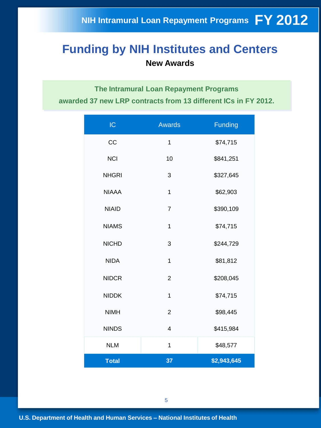## **Funding by NIH Institutes and Centers New Awards**

**The Intramural Loan Repayment Programs awarded 37 new LRP contracts from 13 different ICs in FY 2012.**

| IC           | <b>Awards</b>  | <b>Funding</b> |
|--------------|----------------|----------------|
| CC           | 1              | \$74,715       |
| <b>NCI</b>   | 10             | \$841,251      |
| <b>NHGRI</b> | 3              | \$327,645      |
| <b>NIAAA</b> | $\overline{1}$ | \$62,903       |
| <b>NIAID</b> | $\overline{7}$ | \$390,109      |
| <b>NIAMS</b> | $\overline{1}$ | \$74,715       |
| <b>NICHD</b> | 3              | \$244,729      |
| <b>NIDA</b>  | $\overline{1}$ | \$81,812       |
| <b>NIDCR</b> | $\overline{2}$ | \$208,045      |
| <b>NIDDK</b> | $\mathbf{1}$   | \$74,715       |
| <b>NIMH</b>  | $\overline{2}$ | \$98,445       |
| <b>NINDS</b> | $\overline{4}$ | \$415,984      |
| <b>NLM</b>   | $\mathbf{1}$   | \$48,577       |
| <b>Total</b> | 37             | \$2,943,645    |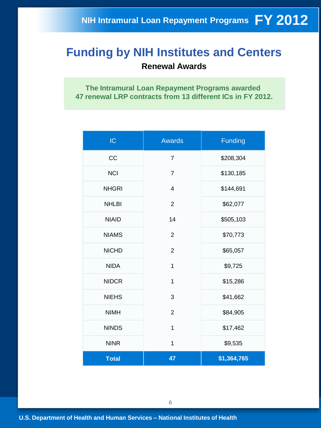## **Funding by NIH Institutes and Centers Renewal Awards**

**The Intramural Loan Repayment Programs awarded 47 renewal LRP contracts from 13 different ICs in FY 2012.**

| IC           | <b>Awards</b>  | <b>Funding</b> |
|--------------|----------------|----------------|
| CC           | $\overline{7}$ | \$208,304      |
| <b>NCI</b>   | $\overline{7}$ | \$130,185      |
| <b>NHGRI</b> | 4              | \$144,691      |
| <b>NHLBI</b> | $\overline{2}$ | \$62,077       |
| <b>NIAID</b> | 14             | \$505,103      |
| <b>NIAMS</b> | $\overline{2}$ | \$70,773       |
| <b>NICHD</b> | $\overline{2}$ | \$65,057       |
| <b>NIDA</b>  | 1              | \$9,725        |
| <b>NIDCR</b> | 1              | \$15,286       |
| <b>NIEHS</b> | 3              | \$41,662       |
| <b>NIMH</b>  | $\overline{2}$ | \$84,905       |
| <b>NINDS</b> | $\mathbf{1}$   | \$17,462       |
| <b>NINR</b>  | $\mathbf 1$    | \$9,535        |
| <b>Total</b> | 47             | \$1,364,765    |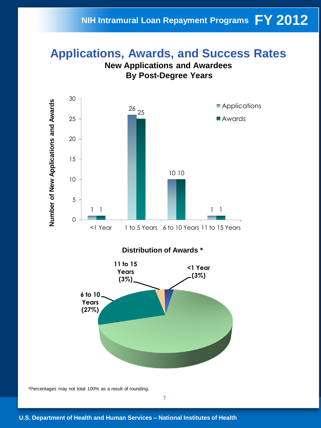## **FY 2012 NIH Intramural Loan Repayment Programs**

### **Applications, Awards, and Success Rates New Applications and Awardees**



\*Percentages may not total 100% as a result of rounding.

7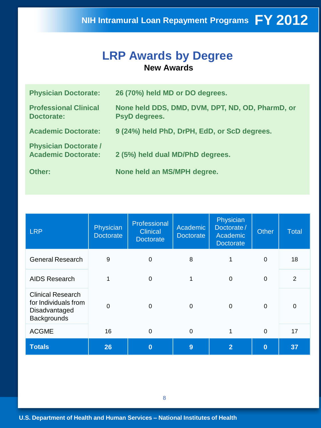### **LRP Awards by Degree New Awards**

| <b>Physician Doctorate:</b>                                | 26 (70%) held MD or DO degrees.                                   |
|------------------------------------------------------------|-------------------------------------------------------------------|
| <b>Professional Clinical</b><br>Doctorate:                 | None held DDS, DMD, DVM, DPT, ND, OD, PharmD, or<br>PsyD degrees. |
| <b>Academic Doctorate:</b>                                 | 9 (24%) held PhD, DrPH, EdD, or ScD degrees.                      |
| <b>Physician Doctorate /</b><br><b>Academic Doctorate:</b> | 2 (5%) held dual MD/PhD degrees.                                  |
| Other:                                                     | None held an MS/MPH degree.                                       |

| <b>LRP</b>                                                                              | Physician<br><b>Doctorate</b> | Professional<br><b>Clinical</b><br><b>Doctorate</b> | Academic<br>Doctorate | Physician<br>Doctorate/<br>Academic<br><b>Doctorate</b> | Other       | Total          |
|-----------------------------------------------------------------------------------------|-------------------------------|-----------------------------------------------------|-----------------------|---------------------------------------------------------|-------------|----------------|
| <b>General Research</b>                                                                 | 9                             | $\mathbf 0$                                         | 8                     | 1                                                       | $\mathbf 0$ | 18             |
| <b>AIDS Research</b>                                                                    | 1                             | $\overline{0}$                                      | 1                     | $\Omega$                                                | $\mathbf 0$ | $\overline{2}$ |
| <b>Clinical Research</b><br>for Individuals from<br>Disadvantaged<br><b>Backgrounds</b> | $\overline{0}$                | 0                                                   | $\Omega$              | $\Omega$                                                | $\Omega$    | 0              |
| <b>ACGME</b>                                                                            | 16                            | $\mathbf 0$                                         | $\mathbf 0$           |                                                         | $\mathbf 0$ | 17             |
| <b>Totals</b>                                                                           | 26                            | $\bf{0}$                                            | 9                     | $\overline{2}$                                          | $\bf{0}$    | 37             |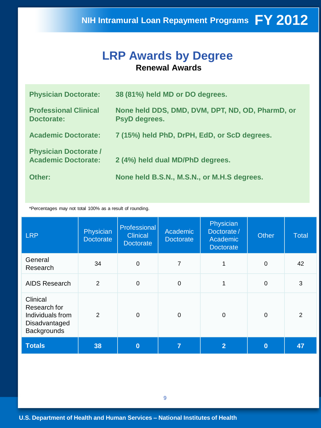## **LRP Awards by Degree Renewal Awards**

| <b>Physician Doctorate:</b>                                | 38 (81%) held MD or DO degrees.                                   |
|------------------------------------------------------------|-------------------------------------------------------------------|
| <b>Professional Clinical</b><br>Doctorate:                 | None held DDS, DMD, DVM, DPT, ND, OD, PharmD, or<br>PsyD degrees. |
| <b>Academic Doctorate:</b>                                 | 7 (15%) held PhD, DrPH, EdD, or ScD degrees.                      |
| <b>Physician Doctorate /</b><br><b>Academic Doctorate:</b> | 2 (4%) held dual MD/PhD degrees.                                  |
| Other:                                                     | None held B.S.N., M.S.N., or M.H.S degrees.                       |

\*Percentages may not total 100% as a result of rounding.

| <b>LRP</b>                                                                          | Physician<br><b>Doctorate</b> | Professional<br><b>Clinical</b><br><b>Doctorate</b> | Academic<br><b>Doctorate</b> | Physician<br>Doctorate/<br>Academic<br><b>Doctorate</b> | <b>Other</b>     | <b>Total</b> |
|-------------------------------------------------------------------------------------|-------------------------------|-----------------------------------------------------|------------------------------|---------------------------------------------------------|------------------|--------------|
| General<br>Research                                                                 | 34                            | 0                                                   | $\overline{7}$               | 1                                                       | $\boldsymbol{0}$ | 42           |
| <b>AIDS Research</b>                                                                | $\overline{2}$                | $\mathbf 0$                                         | $\mathbf 0$                  |                                                         | $\mathbf 0$      | 3            |
| Clinical<br>Research for<br>Individuals from<br>Disadvantaged<br><b>Backgrounds</b> | $\overline{2}$                | $\Omega$                                            | $\mathbf 0$                  | 0                                                       | $\mathbf 0$      | 2            |
| <b>Totals</b>                                                                       | 38                            | 0                                                   | 7                            | $\overline{2}$                                          | $\bf{0}$         | 47           |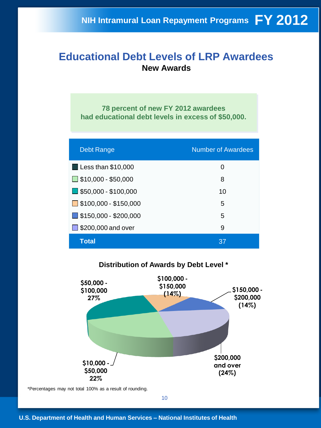### **Educational Debt Levels of LRP Awardees New Awards**

**78 percent of new FY 2012 awardees had educational debt levels in excess of \$50,000.** 

| <b>Debt Range</b>                   | <b>Number of Awardees</b> |
|-------------------------------------|---------------------------|
| $\Box$ Less than \$10,000           | 0                         |
| $\Box$ \$10,000 - \$50,000          | 8                         |
| $\blacksquare$ \$50,000 - \$100,000 | 10                        |
| $\Box$ \$100,000 - \$150,000        | 5                         |
| $\Box$ \$150,000 - \$200,000        | 5                         |
| $\Box$ \$200,000 and over           | 9                         |
| Total                               | 37                        |

### **Distribution of Awards by Debt Level \***



\*Percentages may not total 100% as a result of rounding.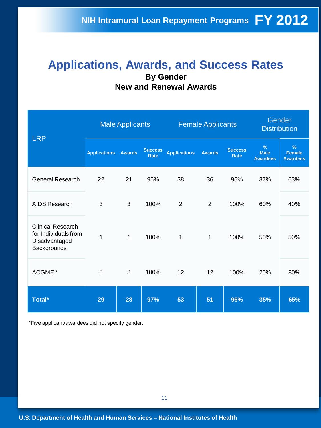### **Applications, Awards, and Success Rates By Gender New and Renewal Awards**

| <b>LRP</b>                                                                       | <b>Male Applicants</b> |               |                               | <b>Female Applicants</b> |                |                               | Gender<br><b>Distribution</b>                   |                                                   |
|----------------------------------------------------------------------------------|------------------------|---------------|-------------------------------|--------------------------|----------------|-------------------------------|-------------------------------------------------|---------------------------------------------------|
|                                                                                  | <b>Applications</b>    | <b>Awards</b> | <b>Success</b><br><b>Rate</b> | <b>Applications</b>      | <b>Awards</b>  | <b>Success</b><br><b>Rate</b> | $\frac{9}{6}$<br><b>Male</b><br><b>Awardees</b> | $\frac{9}{6}$<br><b>Female</b><br><b>Awardees</b> |
| <b>General Research</b>                                                          | 22                     | 21            | 95%                           | 38                       | 36             | 95%                           | 37%                                             | 63%                                               |
| AIDS Research                                                                    | 3                      | 3             | 100%                          | $\overline{2}$           | $\overline{2}$ | 100%                          | 60%                                             | 40%                                               |
| <b>Clinical Research</b><br>for Individuals from<br>Disadvantaged<br>Backgrounds | $\overline{1}$         | 1             | 100%                          | 1                        | $\mathbf{1}$   | 100%                          | 50%                                             | 50%                                               |
| ACGME <sup>*</sup>                                                               | 3                      | 3             | 100%                          | 12                       | 12             | 100%                          | 20%                                             | 80%                                               |
| Total*                                                                           | 29                     | 28            | 97%                           | 53                       | 51             | 96%                           | 35%                                             | 65%                                               |

\*Five applicant/awardees did not specify gender.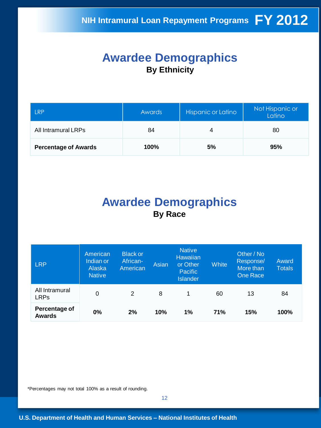## **Awardee Demographics By Ethnicity**

| I RP                        | Awards | Hispanic or Latino | Not Hispanic or<br>Latino |
|-----------------------------|--------|--------------------|---------------------------|
| All Intramural LRPs         | 84     | 4                  | 80                        |
| <b>Percentage of Awards</b> | 100%   | 5%                 | 95%                       |

## **Awardee Demographics By Race**

| <b>LRP</b>                     | American<br>Indian or<br>Alaska<br><b>Native</b> | <b>Black or</b><br>African-<br>American | Asian | <b>Native</b><br><b>Hawaiian</b><br>or Other<br><b>Pacific</b><br><b>Islander</b> | <b>White</b> | Other / No<br>Response/<br>More than<br><b>One Race</b> | Award<br><b>Totals</b> |
|--------------------------------|--------------------------------------------------|-----------------------------------------|-------|-----------------------------------------------------------------------------------|--------------|---------------------------------------------------------|------------------------|
| All Intramural<br><b>LRPs</b>  | 0                                                | 2                                       | 8     | 1                                                                                 | 60           | 13                                                      | 84                     |
| Percentage of<br><b>Awards</b> | 0%                                               | 2%                                      | 10%   | 1%                                                                                | <b>71%</b>   | 15%                                                     | 100%                   |

\*Percentages may not total 100% as a result of rounding.